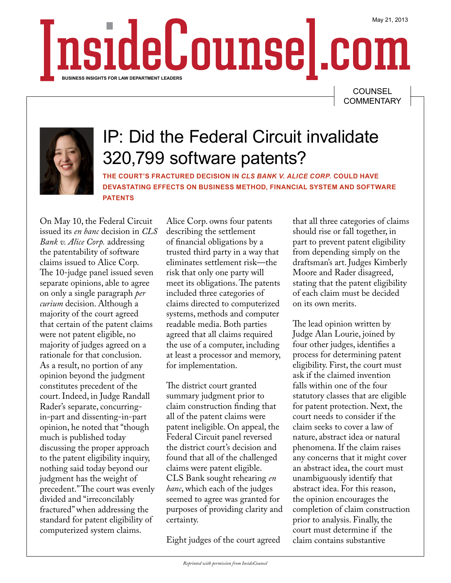May 21, 2013 nside Counse | com **BUSINESS INSIGHTS FOR LAW DEPARTMENT LEADERS**

> **COUNSEL COMMENTARY**



## IP: Did the Federal Circuit invalidate 320,799 software patents?

**THE COURT'S FRACTURED DECISION IN** *CLS BANK V. ALICE CORP.* **COULD HAVE DEVASTATING EFFECTS ON BUSINESS METHOD, FINANCIAL SYSTEM AND SOFTWARE PATENTS**

On May 10, the Federal Circuit issued its *en banc* decision in *CLS Bank v. Alice Corp.* addressing the patentability of software claims issued to Alice Corp. The 10-judge panel issued seven separate opinions, able to agree on only a single paragraph *per curium* decision. Although a majority of the court agreed that certain of the patent claims were not patent eligible, no majority of judges agreed on a rationale for that conclusion. As a result, no portion of any opinion beyond the judgment constitutes precedent of the court. Indeed, in Judge Randall Rader's separate, concurringin-part and dissenting-in-part opinion, he noted that "though much is published today discussing the proper approach to the patent eligibility inquiry, nothing said today beyond our judgment has the weight of precedent." The court was evenly divided and "irreconcilably fractured" when addressing the standard for patent eligibility of computerized system claims.

Alice Corp. owns four patents describing the settlement of financial obligations by a trusted third party in a way that eliminates settlement risk—the risk that only one party will meet its obligations. The patents included three categories of claims directed to computerized systems, methods and computer readable media. Both parties agreed that all claims required the use of a computer, including at least a processor and memory, for implementation.

The district court granted summary judgment prior to claim construction finding that all of the patent claims were patent ineligible. On appeal, the Federal Circuit panel reversed the district court's decision and found that all of the challenged claims were patent eligible. CLS Bank sought rehearing *en banc*, which each of the judges seemed to agree was granted for purposes of providing clarity and certainty.

Eight judges of the court agreed

that all three categories of claims should rise or fall together, in part to prevent patent eligibility from depending simply on the draftsman's art. Judges Kimberly Moore and Rader disagreed, stating that the patent eligibility of each claim must be decided on its own merits.

The lead opinion written by Judge Alan Lourie, joined by four other judges, identifies a process for determining patent eligibility. First, the court must ask if the claimed invention falls within one of the four statutory classes that are eligible for patent protection. Next, the court needs to consider if the claim seeks to cover a law of nature, abstract idea or natural phenomena. If the claim raises any concerns that it might cover an abstract idea, the court must unambiguously identify that abstract idea. For this reason, the opinion encourages the completion of claim construction prior to analysis. Finally, the court must determine if the claim contains substantive